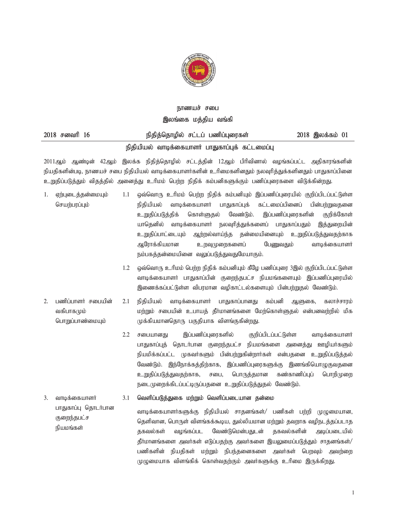

# நாணயச் சபை இலங்கை மத்திய வங்க<u>ி</u>

| $2018$ சனவரி $16$ | நிதித்தொழில் சட்டப் பணிப்புரைகள்                | 2018 இலக்கம் 01 |
|-------------------|-------------------------------------------------|-----------------|
|                   | நிதியியல் வாடிக்கையாளர் பாதுகாப்புக் கட்டமைப்பு |                 |

2011ஆம் ஆண்டின் 42ஆம் இலக்க நிதித்தொழில் சட்டத்தின் 12ஆம் பிரிவினால் வழங்கப்பட்ட அதிகாரங்களின் நியதிகளின்படி, நாணயச் சபை நிதியியல் வாடிக்கையாளர்களின் உரிமைகளினதும் நலவுரித்துக்களினதும் பாதுகாப்பினை உறுதிப்படுத்தும் விதத்தில் அனைத்து உரிமம் பெற்ற நிதிக் கம்பனிகளுக்கும் பணிப்புரைகளை விடுக்கின்றது.

- 1. ஏற்புடைத்தன்மையும் செயற்பரப்பும் 1.1 ஒவ்வொரு உரிமம் பெற்ற நிதிக் கம்பனியும் இப்பணிப்புரையில் குறிப்பிடப்பட்டுள்ள நிதியியல் வாடிக்கையாளர் பாதுகாப்புக் கட்டமைப்பினைப் பின்பற்றுவதனை உறுதிப்படுத்திக் கொள்ளுதல் வேண்டும். இப்பணிப்புரைகளின் குறிக்கோள் யாதெனில் வாடிக்கையாளர் நலவுரித்துக்களைப் பாதுகாப்பதும் இத்துறையின் உறுதிப்பாட்டையும் ஆற்றல்வாய்ந்த தன்மையினையும் உறுதிப்படுத்துவதற்காக ஆரோக்கியமான உறவுமுறைகளைப் பேணுவதும் வாடிக்கையாளர் நம்பகத்தன்மையினை வலுப்படுத்துவதுமேயாகும்.
	- $1.2$  ஓவ்வொரு உரிமம் பெற்ற நிதிக் கம்பனியும் கீழே பணிப்புரை 3இல் குறிப்பிடப்பட்டுள்ள வாடிக்கையாளர் பாதுகாப்பின் குறைந்தபட்ச நியமங்களையும் இப்பணிப்புரையில் இணைக்கப்பட்டுள்ள விபரமான வழிகாட்டல்களையும் பின்பற்றுகல் வேண்டும்.
- 2. பணிப்பாளர் சபையின் வகிபாகமும் பொறுப்பாண்மையும்  $2.1$  நிதியியல் வாடிக்கையாளர் பாதுகாப்பானது கம்பனி ஆளுகை, கலாச்சாரம் மற்றும் சபையின் உபாயத் தீர்மானங்களை மேற்கொள்ளுதல் என்பனவற்றில் மிக முக்கியமானதொரு பகுதியாக விளங்குகின்றது.
	- 2.2 சபையானது இப்பணிப்புரைகளில் குறிப்பிடப்பட்டுள்ள வாடிக்கையாளர் பாதுகாப்புத் தொடர்பான குறைந்தபட்ச நியமங்களை அனைத்து ஊழியர்களும் நியமிக்கப்பட்ட முகவர்களும் பின்பற்றுகின்றார்கள் என்பதனை உறுதிப்படுத்தல் வேண்டும். இந்நோக்கத்திற்காக, இப்பணிப்புரைகளுக்கு இணங்கியொழுகுவதனை உறுதிப்படுத்துவதற்காக, சபை, பொருத்தமான கண்காணிப்புப் பொறிமுறை நடைமுறைக்கிடப்பட்டிருப்பதனை உறுதிப்படுத்துதல் வேண்டும்.

#### $3.$  வாடிக்கையாளர் 3.1 வெளிப்படுத்துகை மற்றும் வெளிப்படையான தன்மை

பாதுகாப்பு தொடர்பான குறைந்தபட்ச நியமங்கள் வாடிக்கையாளர்களுக்கு நிதியியல் சாதனங்கள்/ பணிகள் பற்றி முழுமையான, தெளிவான, பொருள் விளங்கக்கூடிய, துல்லியமான மற்றும் தவறாக வழிநடத்தப்படாத தகவல்கள் வழங்கப்பட வேண்டுமென்பதுடன் தகவல்களின் அடிப்படையில் தீர்மானங்களை அவர்கள் எடுப்பதற்கு அவர்களை இயலுமைப்படுத்தும் சாதனங்கள்/ பணிகளின் நியதிகள் மற்றும் நிபந்தனைகளை அவர்கள் பெறவும் அவற்றை முழுமையாக விளங்கிக் கொள்வதற்கும் அவர்களுக்கு உரிமை இருக்கிறது.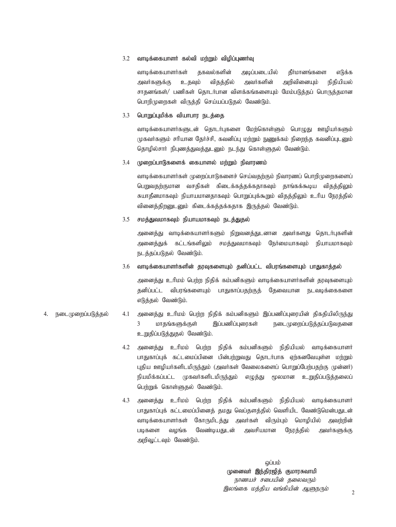# 3.2 வாடிக்கையாளர் கல்வி மற்றும் விழிப்புணர்வு

வாடிக்கையாளர்கள் தகவல்களின் அடிப்படையில் தீர்மானங்களை எடுக்க அவர்களுக்கு உதவும் விதத்தில் அவர்களின் அறிவினையும் நிதியியல் சாதனங்கள்/ பணிகள் தொடர்பான விளக்கங்களையும் மேம்படுத்தப் பொருத்தமான பொறிமுறைகள் விருத்தி செய்யப்படுதல் வேண்டும்.

# 3.3 **பொறுப்புமிக்க வியாபார நடத்தை**

வாடிக்கையாளர்களுடன் தொடர்புகளை மேற்கொள்ளும் பொழுது ஊழியர்களும் முகவர்களும் சரியான தேர்ச்சி, கவனிப்பு மற்றும் நுணுக்கம் நிறைந்த கவனிப்புடனும் தொழில்சார் நிபுணத்துவத்துடனும் நடந்து கொள்ளுதல் வேண்டும்.

# 3.4 **முறைப்பாடுகளைக் கையாளல் ம**ற்றும் நிவாரணம்

வாடிக்கையாளர்கள் முறைப்பாடுகளைச் செய்வதற்கும் நிவாரணப் பொறிமுறைகளைப் பெறுவதற்குமான வசதிகள் கிடைக்கத்தக்கதாகவும் தாங்கக்கூடிய விதத்திலும் சுயாதீனமாகவும் நியாயமானதாகவும் பொறுப்புக்கூறும் விதத்திலும் உரிய நேரத்தில் வினைத்திறனுடனும் கிடைக்கத்தக்கதாக இருத்தல் வேண்டும்.

### 3.5 சமத்துவமாகவும் நியாயமாகவும் நடத்துதல்

அனைத்து வாடிக்கையாளர்களும் நிறுவனத்துடனான அவர்களது தொடர்புகளின் அனைத்துக் கட்டங்களிலும் சமத்துவமாகவும் நேர்மையாகவும் நியாயமாகவும் நடத்தப்படுதல் வேண்டும்.

 $3.6$  வாடிக்கையாளர்களின் தூவுகளையும் தனிப்பட்ட விபரங்களையும் பாதுகாக்கல்

அனைத்து உரிமம் பெற்ற நிதிக் கம்பனிகளும் வாடிக்கையாளர்களின் தரவுகளையும் தனிப்பட்ட விபரங்களையும் பாதுகாப்பதற்குத் தேவையான நடவடிக்கைகளை எடுத்தல் வேண்டும்.

- 4. நடைமுறைப்படுத்தல் 4.1 அனைத்து உரிமம் பெற்ற நிதிக் கம்பனிகளும் இப்பணிப்புரையின் திகதியிலிருந்து 3 மாதங்களுக்குள் இப்பணிப்புரைகள் நடைமுறைப்படுத்தப்படுவதனை உறுதிப்படுத்துதல் வேண்டும்.
	- 4.2 அனைத்து உரிமம் பெற்ற நிதிக் கம்பனிகளும் நிதியியல் வாடிக்கையாளர் பாதுகாப்புக் கட்டமைப்பினை பின்பற்றுவது தொடர்பாக ஏற்கனவேயுள்ள மற்றும் புதிய ஊழியர்களிடமிருந்தும் (அவர்கள் வேலைகளைப் பொறுப்பேற்பதற்கு முன்னர்) நியமிக்கப்பட்ட முகவர்களிடமிருந்தும் எழுத்து மூலமான உறுதிப்படுத்தலைப் பெற்றுக் கொள்ளுதல் வேண்டும்.
	- 4.3 அனைத்து உரிமம் பெற்ற நிதிக் கம்பனிகளும் நிதியியல் வாடிக்கையாளர் பாதுகாப்புக் கட்டமைப்பினைத் தமது வெப்தளத்தில் வெளியிட வேண்டுமென்பதுடன் வாடிக்கையாளர்கள் கோருமிடத்து அவர்கள் விரும்பும் மொழியில் அவற்றின் படிகளை வழங்க வேண்டியதுடன் அவசியமான நேரத்தில் அவர்களுக்கு அறிவூட்டவும் வேண்டும்.

**ஒப்பம்** முனைவர் இந்திரஜித் குமாரசுவாமி நாணயச் சபையின் தலைவரும் இலங்கை மத்திய வங்கியின் ஆளுநரும்

2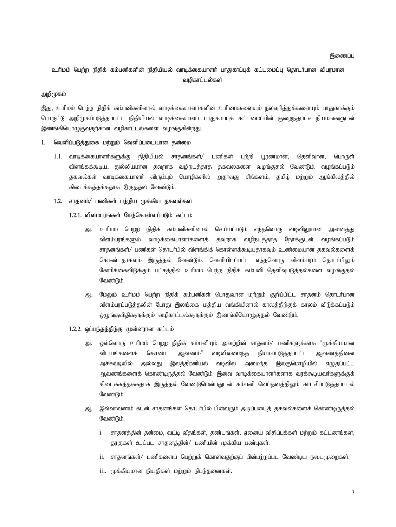# உரிமம் பெற்ற நிதிக் கம்பனிகளின் நிதியியல் வாடிக்கையாளர் பாதுகாப்புக் கட்டமைப்பு தொடர்பான விபரமான வழிகாட்டல்கள்

# **அறி**(ழகம்

இது, உரிமம் பெற்ற நிதிக் கம்பனிகளினால் வாடிக்கையாளர்களின் உரிமைகளையும் நலவுரித்துக்களையும் பாதுகாக்கும் பொருட்டு அறிமுகப்படுத்தப்பட்ட நிதியியல் வாடிக்கையாளர் பாதுகாப்புக் கட்டமைப்பின் குறைந்தபட்ச நியமங்களுடன் இணங்கியொமுகுவகர்கான வமிகாட்டல்களை வமங்குகின்றது.

# 1. வெளிப்படுத்துகை மற்றும் வெளிப்படையான தன்மை

1.1. வாடிக்கையாளர்களுக்கு நிதியியல் சாதனங்கள்/ பணிகள் பற்றி பூரணமான, தெளிவான, பொருள் விளங்கக்கூடிய, துல்லியமான தவறாக வழிநடத்தாத தகவல்களை வழங்குதல் வேண்டும். வழங்கப்படும் தகவல்கள் வாடிக்கையாளர் விரும்பும் மொழிகளில் அதாவது சிங்களம், தமிழ் மற்றும் ஆங்கிலத்தில் கிடைக்கத்தக்கதாக இருத்தல் வேண்டும்.

# 1.2. சாதனம்/ பணிகள் பற்றிய முக்கிய தகவல்கள்

- 1.2.1. விளம்பரங்கள் மேற்கொள்ளப்படும் கட்டம்
	- அ. உரிமம் பெற்ற நிதிக் கம்பனிகளினால் செய்யப்படும் எந்தவொரு வடிவிலுமான அனைத்து விளம்பரங்களும் வாடிக்கையாளர்களைத் தவறாக வழிநடத்தாத நோக்குடன் வழங்கப்படும் சாதனங்கள்/ பணிகள் தொடர்பில் விளங்கிக் கொள்ளக்கூடியதாகவும் உண்மையான தகவல்களைக் கொண்டதாகவும் இருத்தல் வேண்டும். வெளியிடப்பட்ட எந்தவொரு விளம்பரம் தொடர்பிலும் கோரிக்கைவிடுக்கும் பட்சக்கில் உரிமம் பெற்ற நிகிக் கம்பனி கெளிவுபடுக்கல்களை வழங்குகல் வேண்டும்.
	- ஆ. மேலும் உரிமம் பெற்ற நிதிக் கம்பனிகள் பொதுவான மற்றும் குறிப்பிட்ட சாதனம் தொடர்பான விளம்பரப்படுத்தலின் போது இலங்கை மத்திய வங்கியினால் காலத்திற்குக் காலம் விடுக்கப்படும் ஒழுங்குவிதிகளுக்கும் வழிகாட்டல்களுக்கும் இணங்கியொழுகுதல் வேண்டும்.
- 1.2.2. ஒப்பந்தத்திற்கு முன்னரான கட்டம்
	- அ. ஒவ்வொரு உரிமம் பெற்ற நிதிக் கம்பனியும் அவற்றின் சாதனம்/ பணிகளுக்காக "முக்கியமான விடயங்களைக் கொண்ட ஆவணம்" வடிவிலமைந்த நியமப்படுத்தப்பட்ட ஆவணத்தினை அச்சுவடிவில் அல்லது இலத்திரனியல் வடிவில் அமைந்த இலகுமொழியில் எழுதப்பட்ட ஆவணங்களைக் கொண்டிருத்தல் வேண்டும். இவை வாடிக்கையாளர்களாக வரக்கூடியவர்களுக்குக் கிடைக்கத்தக்கதாக இருத்தல் வேண்டுமென்பதுடன் கம்பனி வெப்தளத்திலும் காட்சிப்படுத்தப்படல் வேண்டும்.
	- ஆ. , இவ்வாவணம் கடன் சாதனங்கள் தொடர்பில் பின்வரும் அடிப்படைத் தகவல்களைக் கொண்டிருத்தல் வேண்டும்.
		- i. சாதனத்தின் தன்மை, வட்டி வீதங்கள், தண்டங்கள், ஏனைய விதிப்புக்கள் மற்றும் கட்டணங்கள், தரகுகள் உட்பட சாதனத்தின்/ பணியின் முக்கிய பண்புகள்.
		- ii. சாதனங்கள்/ பணிகளைப் பெற்றுக் கொள்வதற்குப் பின்பற்றப்பட வேண்டிய நடைமுறைகள்.
		- $\overline{\text{iii}}$ . (முக்கியமான நியதிகள் மற்றும் நிபந்தனைகள்.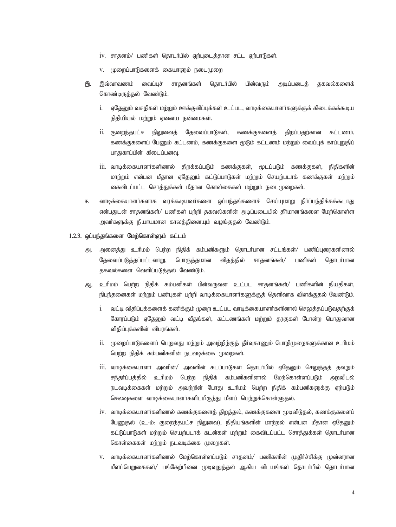- $iv.$  சாதனம்/ பணிகள் தொடர்பில் ஏற்புடைத்தான சட்ட ஏற்பாடுகள்.
- v. (முறைப்பாடுகளைக் கையாளும் நடைமுறை
- இ. இவ்வாவணம் வைப்புச் சாதனங்கள் தொடர்பில் பின்வரும் அடிப்படைத் தகவல்களைக் கொண்டிருத்தல் வேண்டும்.
	- i. ஏதேனும் வசதிகள் மற்றும் ஊக்குவிப்புக்கள் உட்பட, வாடிக்கையாளர்களுக்குக் கிடைக்கக்கூடிய நிதியியல் மற்றும் ஏனைய நன்மைகள்.
	- $i$ ii. குறைந்தபட்ச நிலுவைத் தேவைப்பாடுகள், கணக்குகளைத் திறப்பதற்கான கட்டணம், கணக்குகளைப் பேணும் கட்டணம், கணக்குகளை மூடும் கட்டணம் மற்றும் வைப்புக் காப்புறுதிப் பாதுகாப்பின் கிடைப்பனவு.
	- $\,$ iii. வாடிக்கையாளர்களினால் திறக்கப்படும் கணக்குகள், மூடப்படும் கணக்குகள், நிதிகளின் மாற்றம் என்பன மீதான ஏதேனும் கட்டுப்பாடுகள் மற்றும் செயற்படாக் கணக்குகள் மற்றும் கைவிடப்பட்ட சொத்துக்கள் மீதான கொள்கைகள் மற்றும் நடைமுறைகள்.
- ஈ. வாடிக்கையாளர்களாக வரக்கூடியவர்களை லப்பந்தங்களைச் செய்யுமாறு நிர்ப்பந்திக்கக்கூடாது என்பதுடன் சாதனங்கள்/ பணிகள் பற்றி தகவல்களின் அடிப்படையில் தீர்மானங்களை மேற்கொள்ள அவர்களுக்கு நியாயமான காலத்தினையும் வழங்குதல் வேண்டும்.

# 1.2.3. *ஒ*ப்பந்தங்களை மேற்கொள்ளும் கட்டம்

- அ. அனைத்து உரிமம் பெற்ற நிதிக் கம்பனிகளும் தொடர்பான சட்டங்கள்/ பணிப்புரைகளினால் தேவைப்படுத்தப்பட்டவாறு, பொருத்தமான விதத்தில் சாதனங்கள்/ பணிகள் தொடர்பான தகவல்களை வெளிப்படுத்தல் வேண்டும்.
- ஆ. உரிமம் பெற்ற நிதிக் கம்பனிகள் பின்வருவன உட்பட சாதனங்கள்/ பணிகளின் நியதிகள், நிபந்தனைகள் மற்றும் பண்புகள் பற்றி வாடிக்கையாளர்களுக்குத் தெளிவாக விளக்குதல் வேண்டும்.
	- i. வட்டி விதிப்புக்களைக் கணிக்கும் முறை உட்பட வாடிக்கையாளர்களினால் செலுத்தப்படுவதற்குக் கோரப்படும் ஏதேனும் வட்டி வீதங்கள், கட்டணங்கள் மற்றும் தரகுகள் போன்ற பொதுவான விதிப்புக்களின் விபரங்கள்.
	- ii. (முறைப்பாடுகளைப் பெறுவது மற்றும் அவற்றிற்குத் தீர்வுகாணும் பொறிமுறைகளுக்கான உரிமம் பெற்ற நிதிக் கம்பனிகளின் நடவடிக்கை முறைகள்.
	- $\,$ iii. வாடிக்கையாளர் அவரின்/ அவளின் கடப்பாடுகள் கொடர்பில் ஏகேனும் செலுத்தத் தவறும் சந்தர்ப்பத்தில் உரிமம் பெற்ற நிதிக் கம்பனிகளினால் மேற்கொள்ளப்படும் அறவிடல் நடவடிக்கைகள் மற்றும் அவற்றின் போது உரிமம் பெற்ற நிதிக் கம்பனிகளுக்கு ஏற்படும் செலவுகளை வாடிக்கையாளர்களிடமிருந்து மீளப் பெற்றுக்கொள்ளுதல்.
	- iv. வாடிக்கையாளர்களினால் கணக்குகளைத் திறத்தல், கணக்குகளை மூடிவிடுதல், கணக்குகளைப் பேணுதல் (உ-ம்: குறைந்தபட்ச நிலுவை), நிதியங்களின் மாற்றல் என்பன மீதான ஏதேனும் கட்டுப்பாடுகள் மற்றும் செயற்படாக் கடன்கள் மற்றும் கைவிடப்பட்ட சொத்துக்கள் தொடர்பான கொள்கைகள் மற்றும் நடவடிக்கை முறைகள்.
	- v. வாடிக்கையாளர்களினால் மேற்கொள்ளப்படும் சாதனம்/ பணிகளின் முதிர்ச்சிக்கு முன்னரான மீளப்பெறுகைகள்/ பங்கேற்பினை முடிவுறுத்தல் ஆகிய விடயங்கள் தொடர்பில் தொடர்பான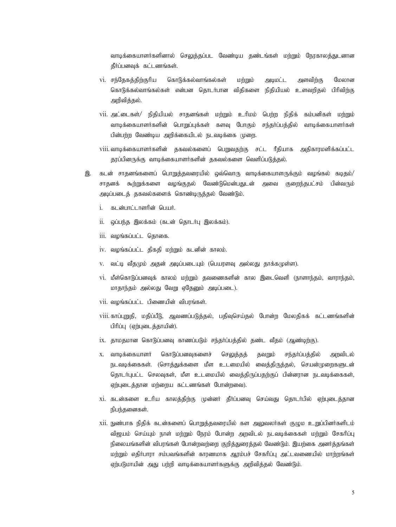வாடிக்கையாளர்களினால் செலுத்தப்பட வேண்டிய தண்டங்கள் மற்றும் நேரகாலத்துடனான தீர்ப்பனவுக் கட்டணங்கள்.

- vi. சந்தேகத்திற்குரிய கொடுக்கல்வாங்கல்கள் மற்றும் அடிமட்ட அளவிற்கு மேலான கொடுக்கல்வாங்கல்கள் என்பன தொடர்பான விதிகளை நிதியியல் உளவரிதல் பிரிவிர்கு அறிவித்தல்.
- vii. அட்டைகள்/ நிதியியல் சாதனங்கள் மற்றும் உரிமம் பெற்ற நிதிக் கம்பனிகள் மற்றும் வாடிக்கையாளர்களின் பொறுப்புக்கள் களவு போகும் சந்தர்ப்பத்தில் வாடிக்கையாளர்கள் பின்பற்ற வேண்டிய அறிக்கையிடல் நடவடிக்கை முறை.
- viii. வாடிக்கையாளர்களின் தகவல்களைப் பெறுவதற்கு சட்ட ரீதியாக அதிகாரமளிக்கப்பட்ட காப்பினருக்கு வாடிக்கையாளர்களின் ககவல்களை வெளிப்படுக்கல்.
- இ. கடன் சாதனங்களைப் பொறுத்தவரையில் ஒவ்வொரு வாடிக்கையாளருக்கும் வழங்கல் கடிதம்/ சாதனக் கூற்றுக்களை வழங்குதல் வேண்டுமென்பதுடன் அவை குறைந்தபட்சம் பின்வரும் அடிப்படைத் தகவல்களைக் கொண்டிருத்தல் வேண்டும்.
	- i. கடன்பாட்டாளரின் பெயர்.
	- $ii.$  ஒப்பந்த இலக்கம் (கடன் தொடர்பு இலக்கம்).
	- $iii.$  வழங்கப்பட்ட தொகை.
	- $iv.$  வழங்கப்பட்ட திகதி மற்றும் கடனின் காலம்.
	- v. வட்டி வீதமும் அதன் அடிப்படையும் (பெயரளவு அல்லது தாக்கமுள்ள).
	- vi. மீள்கொடுப்பனவுக் காலம் மற்றும் தவணைகளின் கால இடைவெளி (நாளாந்தம், வாராந்தம், மாதாந்தம் அல்லது வேறு ஏதேனும் அடிப்படை).
	- $vii.$  வழங்கப்பட்ட பிணையின் விபாங்கள்.
	- viii. காப்புறுதி, மதிப்பீடு, ஆவணப்படுத்தல், பதிவுசெய்தல் போன்ற மேலதிகக் கட்டணங்களின் பிரிப்பு (ஏற்புடைத்தாயின்).
	- $ix.$  தாமதமான கொடுப்பனவு காணப்படும் சந்தர்ப்பத்தில் தண்ட வீதம் (ஆண்டிற்கு).
	- x. வாடிக்கையாளர் கொடுப்பனவுகளைச் செலுத்தத் தவறும் சந்தர்ப்பத்தில் அறவிடல் நடவடிக்கைகள். (சொத்துக்களை மீள உடமையில் வைத்திருத்தல், செயன்முறைகளுடன் தொடர்புபட்ட செலவுகள், மீள உடமையில் வைக்கிருப்பகற்குப் பின்னரான நடவடிக்கைகள், ஏற்புடைத்தான மற்றைய கட்டணங்கள் போன்றவை).
	- xi. கடன்களை உரிய காலத்திற்கு முன்னர் தீர்ப்பனவு செய்வது தொடர்பில் ஏற்புடைத்தான நிபந்தனைகள்.
	- xii. நுண்பாக நிதிக் கடன்களைப் பொறுத்தவரையில் கள அலுவலர்கள் குழும உறுப்பினர்களிடம் விஜயம் செய்யும் நாள் மற்றும் நேரம் போன்ற அறவிடல் நடவடிக்கைகள் மற்றும் சேகரிப்பு நிலையங்களின் விபரங்கள் போன்றவற்றை குறித்துரைத்தல் வேண்டும். இயற்கை அனர்த்தங்கள் மற்றும் எதிர்பாரா சம்பவங்களின் காரணமாக ஆரம்பச் சேகரிப்பு அட்டவணையில் மாற்றங்கள் ஏற்படுமாயின் அது பற்றி வாடிக்கையாளர்களுக்கு அறிவித்தல் வேண்டும்.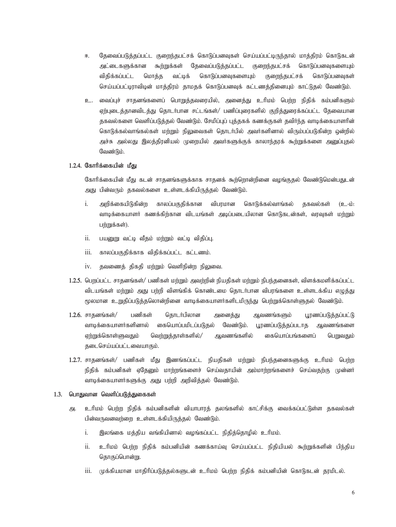- ஈ. தேவைப்படுத்தப்பட்ட குறைந்தபட்சக் கொடுப்பனவுகள் செய்யப்பட்டிருந்தால் மாத்திரம் கொடுகடன் அட்டைகளுக்கான கூற்றுக்கள் தேவைப்படுத்தப்பட்ட குறைந்தபட்சக் கொடுப்பனவுகளையும் விதிக்கப்பட்ட மொத்த வட்டிக் கொடுப்பனவுகளையும் குறைந்தபட்சக் கொடுப்பனவுகள் செய்யப்பட்டிராவிடின் மாத்திரம் தாமதக் கொடுப்பனவுக் கட்டணத்தினையும் காட்டுதல் வேண்டும்.
- உ. வைப்புச் சாதனங்களைப் பொறுத்தவரையில், அனைத்து உரிமம் பெற்ற நிதிக் கம்பனிகளும் ஏற்புடைத்தானவிடத்து தொடர்பான சட்டங்கள்/ பணிப்புரைகளில் குறித்துரைக்கப்பட்ட தேவையான தகவல்களை வெளிப்படுத்தல் வேண்டும். சேமிப்புப் புத்தகக் கணக்குகள் தவிர்ந்த வாடிக்கையாளரின் கொடுக்கல்வாங்கல்கள் மற்றும் நிலுவைகள் தொடர்பில் அவர்களினால் விரும்பப்படுகின்ற ஒன்றில் அச்சு அல்லது இலத்திரனியல் முறையில் அவர்களுக்குக் காலாந்தரக் கூற்றுக்களை அனுப்புதல் வேண்டும்.

# 1.2.4. கோரிக்கையின் மீது

கோரிக்கையின் மீது கடன் சாதனங்களுக்காக சாதனக் கூற்றொன்றினை வழங்குதல் வேண்டுமென்பதுடன் அது பின்வரும் தகவல்களை உள்ளடக்கியிருத்தல் வேண்டும்.

- i. அறிக்கையிடுகின்ற காலப்பகுதிக்கான விபரமான கொடுக்கல்வாங்கல் தகவல்கள் (உ-ம்: வாடிக்கையாளர் கணக்கிற்கான விடயங்கள் அடிப்படையிலான கொடுகடன்கள், வரவுகள் மற்றும் பற்றுக்கள்).
- $ii.$  பயனுறு வட்டி வீதம் மற்றும் வட்டி விதிப்பு.
- $iii.$   $\sigma$ ாலப்பகுதிக்காக விதிக்கப்பட்ட கட்டணம்.
- $iv.$  தவணைத் திகதி மற்றும் வெளிநின்ற நிலுவை.
- 1.2.5. பெறப்பட்ட சாதனங்கள்/ பணிகள் மற்றும் அவற்றின் நியதிகள் மற்றும் நிபந்தனைகள், விளக்கமளிக்கப்பட்ட விடயங்கள் மற்றும் அது பற்றி விளங்கிக் கொண்டமை தொடர்பான விபரங்களை உள்ளடக்கிய எழுத்து மூலமான உறுதிப்படுத்தலொன்றினை வாடிக்கையாளர்களிடமிருந்து பெற்றுக்கொள்ளுதல் வேண்டும்.
- 1.2.6. சாதனங்கள்/ பணிகள் தொடர்பிலான அனைத்து ஆவணங்களும் பூரணப்படுத்தப்பட்டு வாடிக்கையாளர்களினால் கையொப்பமிடப்படுதல் வேண்டும். பூரணப்படுத்தப்படாத ஆவணங்களை எற்றுக்கொள்ளுவதும் வெற்றுக்காள்களில்/ ஆவணங்களில் கையொப்பங்களைப் பெறுவதும் தடைசெய்யப்பட்டவையாகும்.
- 1.2.7. சாதனங்கள்/ பணிகள் மீது இணங்கப்பட்ட நியதிகள் மற்றும் நிபந்தனைகளுக்கு உரிமம் பெற்ற நிதிக் கம்பனிகள் ஏதேனும் மாற்றங்களைச் செய்வதாயின் அம்மாற்றங்களைச் செய்வதற்கு முன்னர் வாடிக்கையாளர்களுக்கு அது பற்றி அறிவித்தல் வேண்டும்.

#### 1.3. பொதுவான வெளிப்படுத்துகைகள்

- அ. உரிமம் பெற்ற நிதிக் கம்பனிகளின் வியாபாரத் தலங்களில் காட்சிக்கு வைக்கப்பட்டுள்ள தகவல்கள் பின்வருவனவற்றை உள்ளடக்கியிருத்தல் வேண்டும்.
	- $i.$  இலங்கை மத்திய வங்கியினால் வழங்கப்பட்ட நிதித்தொழில் உரிமம்.
	- ii. உரிமம் பெற்ற நிதிக் கம்பனியின் கணக்காய்வு செய்யப்பட்ட நிதியியல் கூற்றுக்களின் பிந்திய தொகுப்பொன்று.
	- iii. (முக்கியமான மாதிரிப்படுத்தல்களுடன் உரிமம் பெற்ற நிதிக் கம்பனியின் கொடுகடன் தரமிடல்.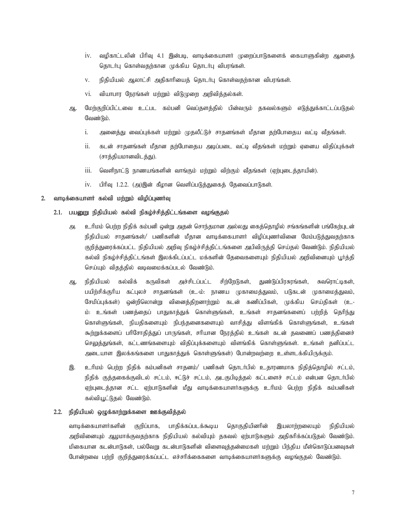- iv. வழிகாட்டலின் பிரிவு 4.1 இன்படி, வாடிக்கையாளர் முறைப்பாடுகளைக் கையாளுகின்ற ஆளைத் தொடர்பு கொள்வதற்கான முக்கிய தொடர்பு விபரங்கள்.
- $v$ . நிதியியல் ஆலாட்சி அதிகாரியைத் தொடர்பு கொள்வதற்கான விபரங்கள்.
- $vi.$  வியாபார நேரங்கள் மற்றும் விடுமுறை அறிவித்தல்கள்.
- ஆ. மேற்குறிப்பிட்டவை உட்பட கம்பனி வெப்தளத்தில் பின்வரும் தகவல்களும் எடுத்துக்காட்டப்படுதல் வேண்டும்.
	- i. அனைத்து வைப்புக்கள் மற்றும் முதலீட்டுச் சாதனங்கள் மீதான தற்போதைய வட்டி வீதங்கள்.
	- ii. கடன் சாதனங்கள் மீதான தற்போதைய அடிப்படை வட்டி வீதங்கள் மற்றும் ஏனைய விதிப்புக்கள் (சாத்தியமானவிடத்து).
	- $\overline{\text{iii}}$ . வெளிநாட்டு நாணயங்களின் வாங்கும் மற்றும் விற்கும் வீதங்கள் (ஏற்புடைத்தாயின்).
	- $iv.$  பிரிவு 1.2.2. (அ)இன் கீழான வெளிப்படுத்துகைத் தேவைப்பாடுகள்.

# 2. வாடிக்கையாளர் கல்வி மற்றும் விழிப்புணர்வு

#### 2.1. பயனுறு நிதியியல் கல்வி நிகழ்ச்சித்திட்டங்களை வழங்குதல்

- அ. உரிமம் பெற்ற நிதிக் கம்பனி ஒன்று அதன் சொந்தமான அல்லது கைத்தொழில் சங்கங்களின் பங்கேற்புடன் நிதியியல் சாதனங்கள்/ பணிகளின் மீதான வாடிக்கையாளர் விழிப்புணர்வினை மேம்படுத்<u>து</u>வதற்காக குறித்துரைக்கப்பட்ட நிதியியல் அறிவு நிகழ்ச்சித்திட்டங்களை அபிவிருத்தி செய்தல் வேண்டும். நிதியியல் கல்வி நிகழ்ச்சித்திட்டங்கள் இலக்கிடப்பட்ட மக்களின் தேவைகளையும் நிதியியல் அறிவினையும் பூர்த்தி செய்யும் விதத்தில் வடிவமைக்கப்படல் வேண்டும்.
- ஆ, நிதியியல் கல்விக் கருவிகள் அச்சிடப்பட்ட சிற்றேடுகள், துண்டுப்பிரசுரங்கள், சுவரொட்டிகள், பயிற்சிக்குரிய கட்புலச் சாதனங்கள் (உ-ம்: நாணய முகாமைத்துவம், படுகடன் முகாமைத்துவம், சேமிப்புக்கள்) ஒன்றிலொன்று வினைக்கிறனாற்றும் கடன் கணிப்பிகள், முக்கிய செய்கிகள் (உ-ம்: உங்கள் பணத்தைப் பாதுகாத்துக் கொள்ளுங்கள், உங்கள் சாதனங்களைப் பற்றித் தெரிந்து கொள்ளுங்கள், நியதிகளையும் நிபந்தனைகளையும் வாசித்து விளங்கிக் கொள்ளுங்கள், உங்கள் கூற்றுக்களைப் பரிசோதித்துப் பாருங்கள், சரியான நேரத்தில் உங்கள் கடன் தவணைப் பணத்தினைச் செலுத்துங்கள், கட்டணங்களையும் விதிப்புக்களையும் விளங்கிக் கொள்ளுங்கள். உங்கள் தனிப்பட்ட அடையாள இலக்கங்களை பாதுகாத்துக் கொள்ளுங்கள்) போன்றவற்றை உள்ளடக்கியிருக்கும்.
- இ. உரிமம் பெற்ற நிதிக் கம்பனிகள் சாதனம்/ பணிகள் தொடர்பில் உதாரணமாக நிதித்தொழில் சட்டம், நிதிக் குத்தகைக்குவிடல் சட்டம், ஈட்டுச் சட்டம், அடகுபிடித்தல் கட்டளைச் சட்டம் என்பன தொடர்பில் ஏற்புடைத்தான சட்ட ஏற்பாடுகளின் மீது வாடிக்கையாளர்களுக்கு உரிமம் பெற்ற நிதிக் கம்பனிகள் கல்வியூட்டுதல் வேண்டும்.

# 2.2. நிதியியல் ஒழுக்காற்றுக்களை ஊக்குவித்தல்

வாடிக்கையாளர்களின் குறிப்பாக, பாதிக்கப்படக்கூடிய தொகுதியினரின் இயலாற்றலையும் நிதியியல் அறிவினையும் ஆழமாக்குவதற்காக நிதியியல் கல்வியும் தகவல் ஏற்பாடுகளும் அதிகரிக்கப்படுதல் வேண்டும். மிகையான கடன்பாடுகள், பல்வேறு கடன்பாடுகளின் விளைவுத்தன்மைகள் மற்றும் பிந்திய மீள்கொடுப்பனவுகள் போன்றவை பற்றி குறித்துரைக்கப்பட்ட எச்சரிக்கைகளை வாடிக்கையாளர்களுக்கு வழங்குதல் வேண்டும்.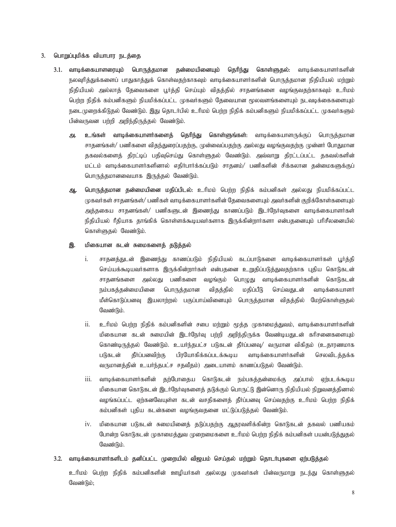#### 3. **பொறுப்புமிக்க வியாபார நடத்தை**

- 3.1. வாடிக்கையாளரையும் பொருத்தமான தன்மையினையும் தெரிந்து கொள்ளுதல்: வாடிக்கையாளர்களின் நலவுரித்துக்களைப் பாதுகாத்துக் கொள்வதற்காகவும் வாடிக்கையாளர்களின் பொருத்தமான நிதியியல் மற்றும் நிதியியல் அல்லாத் தேவைகளை பூர்த்தி செய்யும் விதத்தில் சாதனங்களை வழங்குவதற்காகவும் உரிமம் பெற்ற நிதிக் கம்பனிகளும் நியமிக்கப்பட்ட முகவர்களும் தேவையான மூலவளங்களையும் நடவடிக்கைகளையும் நடைமுறைக்கிடுதல் வேண்டும். இது தொடர்பில் உரிமம் பெற்ற நிதிக் கம்பனிகளும் நியமிக்கப்பட்ட முகவர்களும் பின்வருவன பற்றி அறிந்திருத்தல் வேண்டும்.
	- **அ. உங்கள் வாடிக்கையாளர்களைத் தெரிந்து கொள்ளுங்கள்:** வாடிக்கையாளருக்குப் பொருத்தமான சாதனங்கள்/ பணிகளை விதந்துரைப்பதற்கு, முன்வைப்பதற்கு அல்லது வழங்குவதற்கு முன்னர் போதுமான தகவல்களைத் திரட்டிப் பதிவுசெய்து கொள்ளுதல் வேண்டும். அவ்வாறு திரட்டப்பட்ட தகவல்களின் மட்டம் வாடிக்கையாளர்களினால் எதிர்பார்க்கப்படும் சாதனம்/ பணிகளின் சிக்கலான தன்மைகளுக்குப் பொருத்தமானவையாக இருத்தல் வேண்டும்.
	- ஆ. **பொருத்தமான தன்மையினை மதிப்பிடல்:** உரிமம் பெற்ற நிதிக் கம்பனிகள் அல்லது நியமிக்கப்பட்ட (ழகவர்கள் சாதனங்கள்/ பணிகள் வாடிக்கையாளர்களின் தேவைகளையும் அவர்களின் குறிக்கோள்களையும் அத்தகைய சாதனங்கள்/ பணிகளுடன் இணைந்து காணப்படும் இடர்நேர்வுகளை வாடிக்கையாளர்கள் நிதியியல் ரீதியாக தாங்கிக் கொள்ளக்கூடியவர்களாக இருக்கின்றார்களா என்பதனையும் பரிசீலனையில் கொள்ளுதல் வேண்டும்.

### **இ.** மிகையான கடன் சுமைகளைத் தடுத்தல்

- .. சாதனத்துடன் இணைந்து காணப்படும் நிதியியல் கடப்பாடுகளை வாடிக்கையாளர்கள் பூர்த்தி செய்யக்கூடியவர்களாக இருக்கின்றார்கள் என்பதனை உறுதிப்படுத்துவதற்காக புதிய கொடுகடன் சாதனங்களை அல்லது பணிகளை வழங்கும் பொழுது வாடிக்கையாளர்களின் கொடுகடன் நம்பகத்தன்மையினை பொருத்தமான விதத்தில் மதிப்பீடு செய்வதுடன் வாடிக்கையாளர் மீள்கொடுப்பனவு இயலாற்றல் பகுப்பாய்வினையும் பொருத்தமான விதத்தில் மேற்கொள்ளுதல் வேண்டும்.
- ii. உரிமம் பெற்ற நிதிக் கம்பனிகளின் சபை மற்றும் மூத்த முகாமைத்துவம், வாடிக்கையாளர்களின் மிகையான கடன் சுமையின் இடர்நேர்வு பற்றி அறிந்திருக்க வேண்டியதுடன் கரிசனைகளையும் கொண்டிருத்தல் வேண்டும். உயர்ந்தபட்ச படுகடன் தீர்ப்பனவு/ வருமான விகிதம் (உதாரணமாக படுகடன் தீர்ப்பனவிற்கு பிரயோகிக்கப்படக்கூடிய வாடிக்கையாளர்களின் செலவிடத்தக்க வருமானத்தின் உயர்ந்தபட்ச சதவீதம்) அடையாளம் காணப்படுதல் வேண்டும்.
- $\,$ iii. வாடிக்கையாளர்களின் தற்போதைய கொடுகடன் நம்பகத்தன்மைக்கு அப்பால் ஏற்படக்கூடிய மிகையான கொடுகடன் இடர்நேர்வுகளைத் தடுக்கும் பொருட்டு இன்னொரு நிதியியல் நிறுவனத்தினால் வழங்கப்பட்ட ஏற்கனவேயுள்ள கடன் வசதிகளைத் தீர்ப்பனவு செய்வதற்கு உரிமம் பெற்ற நிதிக் கம்பனிகள் புதிய கடன்களை வழங்குவதனை மட்டுப்படுத்தல் வேண்டும்.
- iv. மிகையான படுகடன் சுமையினைத் தடுப்பதற்கு ஆதரவளிக்கின்ற கொடுகடன் தகவல் பணியகம் போன்ற கொடுகடன் முகாமைத்துவ முறைமைகளை உரிமம் பெற்ற நிதிக் கம்பனிகள் பயன்படுத்துதல் வேண்டும்.

# 3.2. வாடிக்கையாளர்களிடம் தனிப்பட்ட முறையில் விஜயம் செய்தல் மற்றும் தொடர்புகளை ஏற்படுத்தல்

உரிமம் பெற்ற நிதிக் கம்பனிகளின் ஊழியர்கள் அல்லது முகவர்கள் பின்வருமாறு நடந்து கொள்ளுதல் வேண்டும்;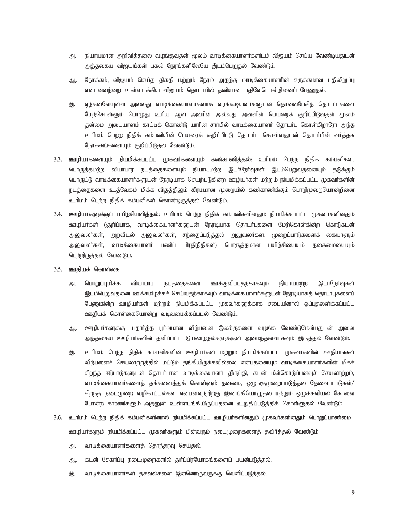- அ. நியாயமான அறிவித்தலை வழங்குவதன் மூலம் வாடிக்கையாளர்களிடம் விஜயம் செய்ய வேண்டியதுடன் அத்தகைய விஜயங்கள் பகல் நேரங்களிலேயே இடம்பெறுதல் வேண்டும்.
- ஆ. நோக்கம், விஜயம் செய்த திகதி மற்றும் நேரம் அதற்கு வாடிக்கையாளரின் சுருக்கமான பதிலிறுப்பு என்பனவர்ளை உள்ளடக்கிய விஜயம் தொடர்பில் தனியான பதிவேடொன்றினைப் பேரைதல்.
- இ. ஏற்கனவேயுள்ள அல்லது வாடிக்கையாளர்களாக வரக்கூடியவர்களுடன் தொலைபேசித் தொடர்புகளை மேற்கொள்ளும் பொழுது உரிய ஆள் அவரின் அல்லது அவளின் பெயரைக் குறிப்பிடுவதன் மூலம் தன்மை அடையாளம் காட்டிக் கொண்டு யாரின் சார்பில் வாடிக்கையாளர் தொடர்பு கொள்கிறாரோ அந்த உரிமம் பெற்ற நிதிக் கம்பனியின் பெயரைக் குறிப்பிட்டு தொடர்பு கொள்வதுடன் தொடர்பின் வர்த்தக நோக்கங்களையும் குறிப்பிடுதல் வேண்டும்.
- 3.3. ஊழியர்களையும் நியமிக்கப்பட்ட முகவர்களையும் கண்காணித்தல்: உரிமம் பெற்ற நிதிக் கம்பனிகள், பொருத்தமற்ற வியாபார நடத்தைகளையும் நியாயமற்ற இடர்நேர்வுகள் இடம்பெறுவதனையும் தடுக்கும் பொருட்டு வாடிக்கையாளர்களுடன் நேரடியாக செயற்படுகின்ற ஊழியர்கள் மற்றும் நியமிக்கப்பட்ட முகவர்களின் நடத்தைகளை உத்வேகம் மிக்க விதத்திலும் கிரமமான முறையில் கண்காணிக்கும் பொறிமுறையொன்றினை உரிமம் பெற்ற நிதிக் கம்பனிகள் கொண்டிருத்தல் வேண்டும்.
- 3.4. ஊழியர்களுக்குப் பயிற்சியளித்தல்: உரிமம் பெற்ற நிதிக் கம்பனிகளினதும் நியமிக்கப்பட்ட முகவர்களினதும் ஊழியர்கள் (குறிப்பாக, வாடிக்கையாளர்களுடன் நேரடியாக தொடர்புகளை மேற்கொள்கின்ற கொடுகடன் அலுவலர்கள், அறவிடல் அலுவலர்கள், சந்தைப்படுத்தல் அலுவலர்கள், முறைப்பாடுகளைக் கையாளும் அலுவலர்கள், வாடிக்கையாளர் பணிப் பிரதிநிதிகள்) பொருத்தமான பயிற்சியையும் தகைமையையும் பெற்றிருத்தல் வேண்டும்.
- 3.5. ஊதியக் கொள்கை
	- அ. பொறுப்புமிக்க வியாபார நடத்தைகளை ஊக்குவிப்பதற்காகவும் நியாயமற்ற இடர்நேர்வுகள் இடம்பெறுவதனை ஊக்கமிழக்கச் செய்வதற்காகவும் வாடிக்கையாளர்களுடன் நேரடியாகத் தொடர்புகளைப் பேணுகின்ற ஊழியர்கள் மற்றும் நியமிக்கப்பட்ட முகவர்களுக்காக சபையினால் ஒப்புதலளிக்கப்பட்ட ஊதியக் கொள்கையொன்று வடிவமைக்கப்படல் வேண்டும்.
	- ஆ. ஊழியர்களுக்கு யதார்த்த பூர்வமான விற்பனை இலக்குகளை வழங்க வேண்டுமென்பதுடன் அவை அத்தகைய ஊழியர்களின் தனிப்பட்ட இயலாற்றல்களுக்குள் அமைந்தனவாகவும் இருத்தல் வேண்டும்.
	- ,. chpkk; ngw;w epjpf; fk;gdpfspd; CopaHfs; kw;Wk; epakpf;fg;gl;l KftHfspd; Cjpaq;fs; விற்பனைச் செயலாற்றத்தில் மட்டும் தங்கியிருக்கவில்லை என்பதனையும் வாடிக்கையாளர்களின் மிகச் சிறந்த ஈடுபாடுகளுடன் தொடர்பான வாடிக்கையாளர் திருப்தி, கடன் மீள்கொடுப்பனவுச் செயலாற்றம், வாடிக்கையாளர்களைத் தக்கவைத்துக் கொள்ளும் தன்மை, ஒழுங்குமுறைப்படுத்தல் தேவைப்பாடுகள்/ சிறந்த நடைமுறை வழிகாட்டல்கள் என்பனவற்றிற்கு இணங்கியொழுதல் மற்றும் ஒழுக்கவியல் கோவை போன்ற காரணிகளும் அதனுள் உள்ளடங்கியிருப்பதனை உறுதிப்படுத்திக் கொள்ளுதல் வேண்டும்.
- 3.6. உரிமம் பெற்ற நிதிக் கம்பனிகளினால் நியமிக்கப்பட்ட ஊழியர்களினதும் முகவர்களினதும் பொறுப்பாண்மை ஊழியர்களும் நியமிக்கப்பட்ட முகவர்களும் பின்வரும் நடைமுறைகளைத் தவிர்த்தல் வேண்டும்:
	- அ. வாடிக்கையாளர்களைத் தொந்தரவு செய்தல்.
	- ஆ. கடன் சேகரிப்பு நடைமுறைகளில் துர்ப்பிரயோகங்களைப் பயன்படுத்தல்.
	- இ. வாடிக்கையாளர்கள் தகவல்களை இன்னொருவருக்கு வெளிப்படுத்தல்.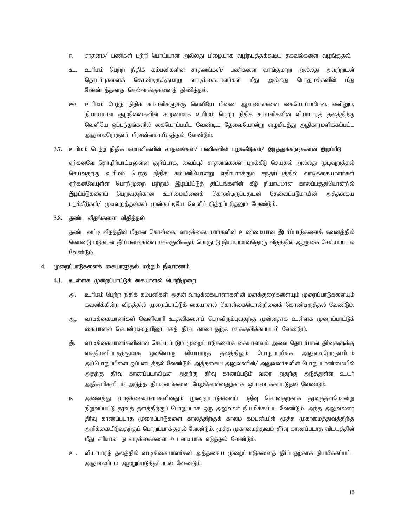- சாதனம்/ பணிகள் பற்றி பொய்யான அல்லது பிழையாக வழிநடத்தக்கூடிய தகவல்களை வழங்குதல். 匝.
- உரிமம் பெற்ற நிதிக் கம்பனிகளின் சாதனங்கள்/ பணிகளை வாங்குமாறு அல்லது அவற்றுடன் உ. தொடர்புகளைக் கொண்டிருக்குமாறு வாடிக்கையாளர்கள் மீது பொதுமக்களின் அல்லது மீது வேண்டத்தகாத செல்வாக்குகளைத் திணித்தல்.
- ஊ. உரிமம் பெற்ற நிதிக் கம்பனிகளுக்கு வெளியே பிணை ஆவணங்களை கையொப்பமிடல். எனினும், நியாயமான சூழ்நிலைகளின் காரணமாக உரிமம் பெற்ற நிதிக் கம்பனிகளின் வியாபாரத் தலத்திற்கு வெளியே ஒப்பந்தங்களில் கையொப்பமிட வேண்டிய தேவையொன்று எழுமிடத்து அதிகாரமளிக்கப்பட்ட அலுவலரொருவர் பிரசன்னமாயிருத்தல் வேண்டும்.

# 3.7. உரிமம் பெற்ற நிதிக் கம்பனிகளின் சாதனங்கள்/ பணிகளின் புறக்கீடுகள்/ இரத்துக்களுக்கான இழப்பீடு

ஏற்கனவே தொழிற்பாட்டிலுள்ள குறிப்பாக, வைப்புச் சாதனங்களை புறக்கீடு செய்தல் அல்லது முடிவுறுத்தல் செய்வதற்கு உரிமம் பெற்ற நிதிக் கம்பனியொன்று எதிர்பார்க்கும் சந்தர்ப்பத்தில் வாடிக்கையாளர்கள் ஏற்கனவேயுள்ள பொறிமுறை மற்றும் இழப்பீட்டுத் திட்டங்களின் கீழ் நியாயமான காலப்பகுதியொன்றில் பெறுவதற்கான உரிமையினைக் கொண்டிருப்பதுடன் தேவைப்படுமாயின் இழப்பீடுகளைப் அக்ககைய புறக்கீடுகள்/ முடிவுறுத்தல்கள் முன்கூட்டியே வெளிப்படுத்தப்படுதலும் வேண்டும்.

3.8. கண்ட வீகங்களை விகிக்கல்

கண்ட வட்டி வீகக்கின் மீகான கொள்கை, வாடிக்கையாளர்களின் உண்மையான இடர்ப்பாடுகளைக் கவனக்கில் கொண்டு படுகடன் தீர்ப்பனவுகளை ஊக்குவிக்கும் பொருட்டு நியாயமானதொரு விதத்தில் ஆளுகை செய்யப்படல் வேண்டும்.

#### முறைப்பாடுகளைக் கையாளுதல் மற்றும் நிவாரணம் 4.

# 4.1. உள்ளக முறைப்பாட்டுக் கையாளல் பொறிமுறை

- அ. உரிமம் பெர்ற நிதிக் கம்பனிகள் அதன் வாடிக்கையாளர்களின் மனக்குரைகளையும் முறைப்பாடுகளையும் கவனிக்கின்ற விதத்தில் முறைப்பாட்டுக் கையாளல் கொள்கையொன்றினைக் கொண்டிருத்தல் வேண்டும்.
- வாடிக்கையாளர்கள் வெளிவாரி உதவிகளைப் பெறவிரும்புவதற்கு முன்னதாக உள்ளக முறைப்பாட்டுக் ஆ. கையாளல் செயன்முறையினூடாகத் தீர்வு காண்பதற்கு ஊக்குவிக்கப்படல் வேண்டும்.
- வாடிக்கையாளர்களினால் செய்யப்படும் முறைப்பாடுகளைக் கையாளவும் அவை தொடர்பான தீர்வுகளுக்கு இ. வசதியளிப்பதற்குமாக ஒவ்வொரு வியாபாரத் தலத்திலும் பொறுப்புமிக்க அலுவலரொருவரிடம் அப்பொறுப்பினை ஒப்படைத்தல் வேண்டும். அத்தகைய அலுவலரின்/ அலுவலர்களின் பொறுப்பாண்மையில் அதற்கு தீர்வு காணப்படாவிடின் அதற்கு தீர்வு காணப்படும் வரை அதற்கு அடுத்துள்ள உயர் அதிகாரிகளிடம் அடுத்த தீர்மானங்களை மேற்கொள்வதற்காக ஒப்படைக்கப்படுதல் வேண்டும்.
- அனைத்து வாடிக்கையாளர்களினதும் முறைப்பாடுகளைப் பதிவு செய்வதற்காக தூவுத்தளமொன்று  $\overline{H}$ நிறுவப்பட்டு தரவுத் தளத்திற்குப் பொறுப்பாக ஒரு அலுவலர் நியமிக்கப்பட வேண்டும். அந்த அலுவலரை தீர்வு காணப்படாத முறைப்பாடுகளை காலத்திற்குக் காலம் கம்பனியின் மூத்த முகாமைத்துவத்திற்கு அறிக்கையிடுவதற்குப் பொறுப்பாக்குதல் வேண்டும். மூத்த முகாமைத்துவம் தீர்வு காணப்படாத விடயத்தின் மீது சரியான நடவடிக்கைகளை உடனடியாக எடுத்தல் வேண்டும்.
- உ. வியாபாரத் தலத்தில் வாடிக்கையாளர்கள் அத்தகைய முறைப்பாடுகளைத் தீர்ப்பதற்காக நியமிக்கப்பட்ட அலுவலரிடம் ஆற்றுப்படுத்தப்படல் வேண்டும்.